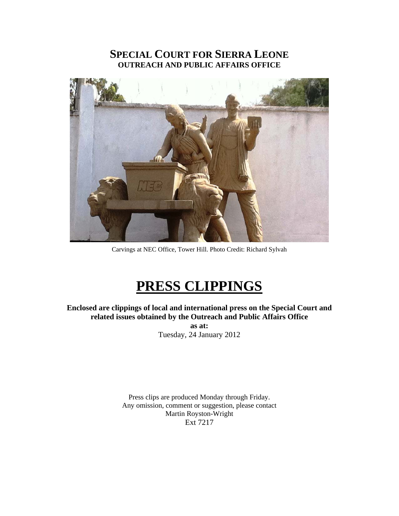# **SPECIAL COURT FOR SIERRA LEONE OUTREACH AND PUBLIC AFFAIRS OFFICE**



Carvings at NEC Office, Tower Hill. Photo Credit: Richard Sylvah

# **PRESS CLIPPINGS**

**Enclosed are clippings of local and international press on the Special Court and related issues obtained by the Outreach and Public Affairs Office as at:**  Tuesday, 24 January 2012

> Press clips are produced Monday through Friday. Any omission, comment or suggestion, please contact Martin Royston-Wright Ext 7217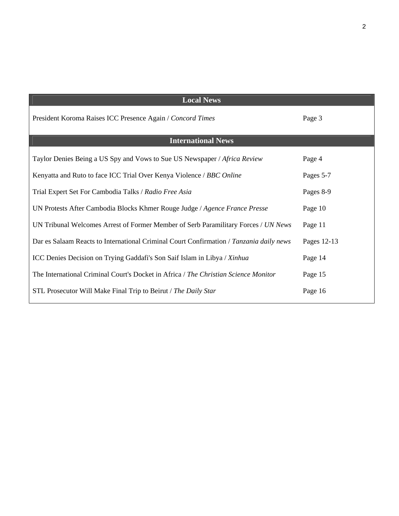| <b>Local News</b>                                                                       |             |
|-----------------------------------------------------------------------------------------|-------------|
| President Koroma Raises ICC Presence Again / Concord Times                              | Page 3      |
| <b>International News</b>                                                               |             |
| Taylor Denies Being a US Spy and Vows to Sue US Newspaper / Africa Review               | Page 4      |
| Kenyatta and Ruto to face ICC Trial Over Kenya Violence / BBC Online                    | Pages 5-7   |
| Trial Expert Set For Cambodia Talks / Radio Free Asia                                   | Pages 8-9   |
| UN Protests After Cambodia Blocks Khmer Rouge Judge / Agence France Presse              | Page 10     |
| UN Tribunal Welcomes Arrest of Former Member of Serb Paramilitary Forces / UN News      | Page 11     |
| Dar es Salaam Reacts to International Criminal Court Confirmation / Tanzania daily news | Pages 12-13 |
| ICC Denies Decision on Trying Gaddafi's Son Saif Islam in Libya / Xinhua                | Page 14     |
| The International Criminal Court's Docket in Africa / The Christian Science Monitor     | Page 15     |
| STL Prosecutor Will Make Final Trip to Beirut / The Daily Star                          | Page 16     |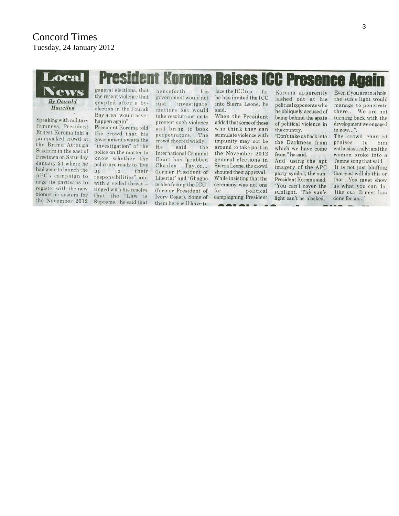

**GOLGL-**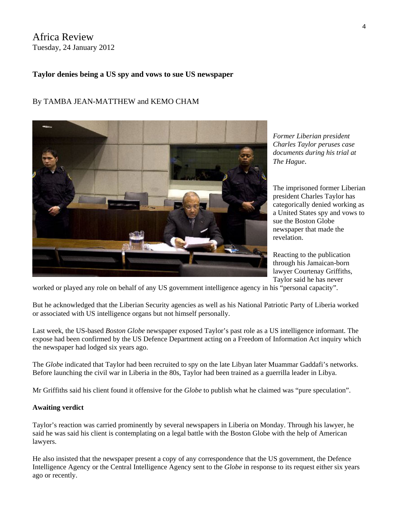# Africa Review Tuesday, 24 January 2012

#### **Taylor denies being a US spy and vows to sue US newspaper**

## By TAMBA JEAN-MATTHEW and KEMO CHAM



The imprisoned former Liberian president Charles Taylor has categorically denied working as a United States spy and vows to sue the Boston Globe newspaper that made the revelation.

Reacting to the publication through his Jamaican-born lawyer Courtenay Griffiths, Taylor said he has never

worked or played any role on behalf of any US government intelligence agency in his "personal capacity".

But he acknowledged that the Liberian Security agencies as well as his National Patriotic Party of Liberia worked or associated with US intelligence organs but not himself personally.

Last week, the US-based *Boston Globe* newspaper exposed Taylor's past role as a US intelligence informant. The expose had been confirmed by the US Defence Department acting on a Freedom of Information Act inquiry which the newspaper had lodged six years ago.

The *Globe* indicated that Taylor had been recruited to spy on the late Libyan later Muammar Gaddafi's networks. Before launching the civil war in Liberia in the 80s, Taylor had been trained as a guerrilla leader in Libya.

Mr Griffiths said his client found it offensive for the *Globe* to publish what he claimed was "pure speculation".

#### **Awaiting verdict**

Taylor's reaction was carried prominently by several newspapers in Liberia on Monday. Through his lawyer, he said he was said his client is contemplating on a legal battle with the Boston Globe with the help of American lawyers.

He also insisted that the newspaper present a copy of any correspondence that the US government, the Defence Intelligence Agency or the Central Intelligence Agency sent to the *Globe* in response to its request either six years ago or recently.

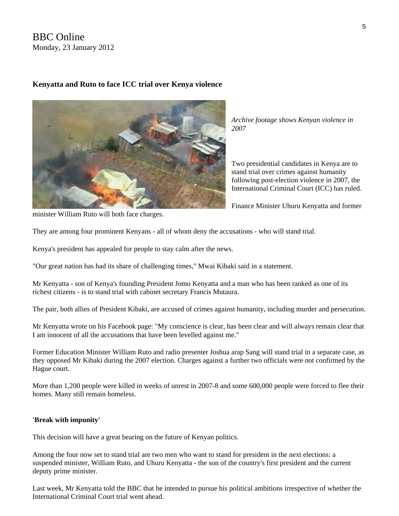# BBC Online Monday, 23 January 2012

#### **Kenyatta and Ruto to face ICC trial over Kenya violence**



*Archive footage shows Kenyan violence in 2007* 

Two presidential candidates in Kenya are to stand trial over crimes against humanity following post-election violence in 2007, the International Criminal Court (ICC) has ruled.

Finance Minister Uhuru Kenyatta and former

minister William Ruto will both face charges.

They are among four prominent Kenyans - all of whom deny the accusations - who will stand trial.

Kenya's president has appealed for people to stay calm after the news.

"Our great nation has had its share of challenging times," Mwai Kibaki said in a statement.

Mr Kenyatta - son of Kenya's founding President Jomo Kenyatta and a man who has been ranked as one of its richest citizens - is to stand trial with cabinet secretary Francis Mutaura.

The pair, both allies of President Kibaki, are accused of crimes against humanity, including murder and persecution.

Mr Kenyatta [wrote on his Facebook page:](http://www.facebook.com/pages/Uhuru-Kenyatta/48686136038#%21/myuhurukenyatta?sk=wall) "My conscience is clear, has been clear and will always remain clear that I am innocent of all the accusations that have been levelled against me."

Former Education Minister William Ruto and radio presenter Joshua arap Sang will stand trial in a separate case, as they opposed Mr Kibaki during the 2007 election. Charges against a further two officials were not confirmed by the Hague court.

More than 1,200 people were killed in weeks of unrest in 2007-8 and some 600,000 people were forced to flee their homes. Many still remain homeless.

#### **'Break with impunity'**

This decision will have a great bearing on the future of Kenyan politics.

Among the four now set to stand trial are two men who want to stand for president in the next elections: a suspended minister, William Ruto, and Uhuru Kenyatta - the son of the country's first president and the current deputy prime minister.

Last week, Mr Kenyatta told the BBC that he intended to pursue his political ambitions irrespective of whether the International Criminal Court trial went ahead.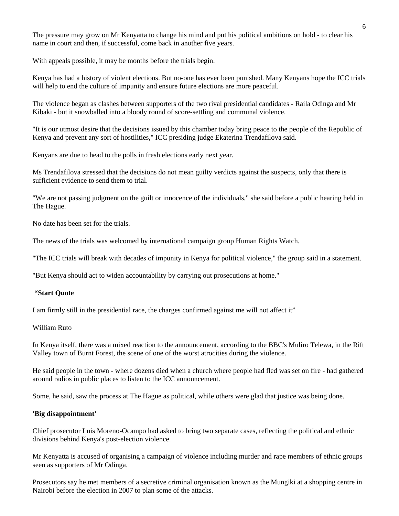The pressure may grow on Mr Kenyatta to change his mind and put his political ambitions on hold - to clear his name in court and then, if successful, come back in another five years.

With appeals possible, it may be months before the trials begin.

Kenya has had a history of violent elections. But no-one has ever been punished. Many Kenyans hope the ICC trials will help to end the culture of impunity and ensure future elections are more peaceful.

The violence began as clashes between supporters of the two rival presidential candidates - Raila Odinga and Mr Kibaki - but it snowballed into a bloody round of score-settling and communal violence.

"It is our utmost desire that the decisions issued by this chamber today bring peace to the people of the Republic of Kenya and prevent any sort of hostilities," ICC presiding judge Ekaterina Trendafilova said.

Kenyans are due to head to the polls in fresh elections early next year.

Ms Trendafilova stressed that the decisions do not mean guilty verdicts against the suspects, only that there is sufficient evidence to send them to trial.

"We are not passing judgment on the guilt or innocence of the individuals," she said [before a public hearing held in](http://www.icc-cpi.int/NR/exeres/7036023F-C83C-484E-9FDD-0DD37E568E84.htm)  [The Hague.](http://www.icc-cpi.int/NR/exeres/7036023F-C83C-484E-9FDD-0DD37E568E84.htm)

No date has been set for the trials.

The news of the trials was welcomed by international campaign group Human Rights Watch.

"The ICC trials will break with decades of impunity in Kenya for political violence," the group said in a statement.

"But Kenya should act to widen accountability by carrying out prosecutions at home."

#### **"Start Quote**

I am firmly still in the presidential race, the charges confirmed against me will not affect it"

#### William Ruto

In Kenya itself, there was a mixed reaction to the announcement, according to the BBC's Muliro Telewa, in the Rift Valley town of Burnt Forest, the scene of one of the worst atrocities during the violence.

He said people in the town - where dozens died when a church where people had fled was set on fire - had gathered around radios in public places to listen to the ICC announcement.

Some, he said, saw the process at The Hague as political, while others were glad that justice was being done.

#### **'Big disappointment'**

Chief prosecutor Luis Moreno-Ocampo had asked to bring two separate cases, reflecting the political and ethnic divisions behind Kenya's post-election violence.

Mr Kenyatta is accused of organising a campaign of violence including murder and rape members of ethnic groups seen as supporters of Mr Odinga.

Prosecutors say he met members of a secretive criminal organisation known as the Mungiki at a shopping centre in Nairobi before the election in 2007 to plan some of the attacks.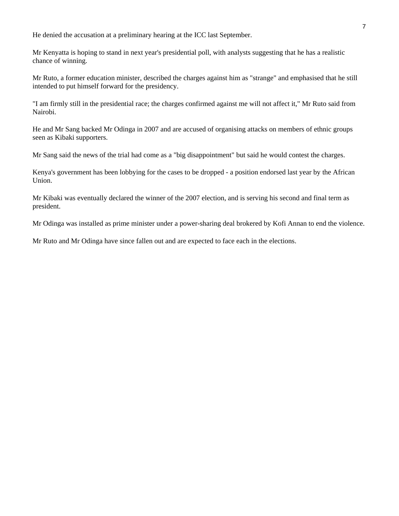He denied the accusation at a preliminary hearing at the ICC last September.

Mr Kenyatta is hoping to stand in next year's presidential poll, with analysts suggesting that he has a realistic chance of winning.

Mr Ruto, a former education minister, described the charges against him as "strange" and emphasised that he still intended to put himself forward for the presidency.

"I am firmly still in the presidential race; the charges confirmed against me will not affect it," Mr Ruto said from Nairobi.

He and Mr Sang backed Mr Odinga in 2007 and are accused of organising attacks on members of ethnic groups seen as Kibaki supporters.

Mr Sang said the news of the trial had come as a "big disappointment" but said he would contest the charges.

Kenya's government has been lobbying for the cases to be dropped - a position endorsed last year by the African Union.

Mr Kibaki was eventually declared the winner of the 2007 election, and is serving his second and final term as president.

Mr Odinga was installed as prime minister under a power-sharing deal brokered by Kofi Annan to end the violence.

Mr Ruto and Mr Odinga have since fallen out and are expected to face each in the elections.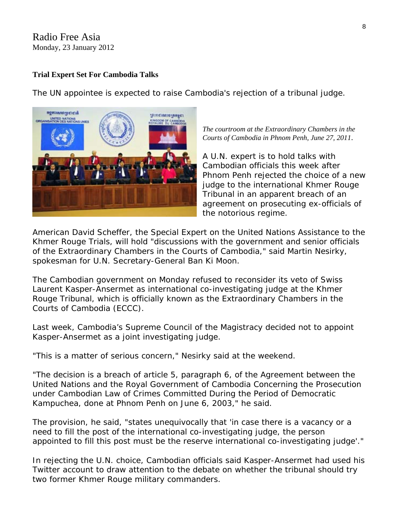# Radio Free Asia Monday, 23 January 2012

# **Trial Expert Set For Cambodia Talks**

The UN appointee is expected to raise Cambodia's rejection of a tribunal judge.



*The courtroom at the Extraordinary Chambers in the Courts of Cambodia in Phnom Penh, June 27, 2011*.

A U.N. expert is to hold talks with Cambodian officials this week after Phnom Penh rejected the choice of a n ew judge to the international Khmer Rouge Tribunal in an apparent breach of an agreement on prosecuting ex-officials of the notorious regime.

American David Scheffer, the Special Expert on the United Nations Assistance to the Khmer Rouge Trials, will hold "discussions with the government and senior officials of the Extraordinary Chambers in the Courts of Cambodia," said Martin Nesirky, spokesman for U.N. Secretary-General Ban Ki Moon.

The Cambodian government on Monday refused to reconsider its veto of Swiss Laurent Kasper-Ansermet as international co-investigating judge at the Khmer Rouge Tribunal, which is officially known as the Extraordinary Chambers in the Courts of Cambodia (ECCC).

Last week, Cambodia's Supreme Council of the Magistracy decided not to appoint Kasper-Ansermet as a joint investigating judge.

"This is a matter of serious concern," Nesirky said at the weekend.

"The decision is a breach of article 5, paragraph 6, of the Agreement between the United Nations and the Royal Government of Cambodia Concerning the Prosecution under Cambodian Law of Crimes Committed During the Period of Democratic Kampuchea, done at Phnom Penh on June 6, 2003," he said.

The provision, he said, "states unequivocally that 'in case there is a vacancy or a need to fill the post of the international co-investigating judge, the person appointed to fill this post must be the reserve international co-investigating judge'."

In rejecting the U.N. choice, Cambodian officials said Kasper-Ansermet had used his Twitter account to draw attention to the debate on whether the tribunal should try two former Khmer Rouge military commanders.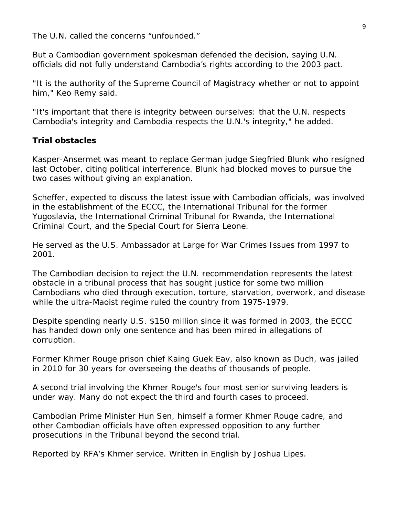The U.N. called the concerns "unfounded."

But a Cambodian government spokesman defended the decision, saying U.N. officials did not fully understand Cambodia's rights according to the 2003 pact.

"It is the authority of the Supreme Council of Magistracy whether or not to appoint him," Keo Remy said.

"It's important that there is integrity between ourselves: that the U.N. respects Cambodia's integrity and Cambodia respects the U.N.'s integrity," he added.

# **Trial obstacles**

Kasper-Ansermet was meant to replace German judge Siegfried Blunk who resigned last October, citing political interference. Blunk had blocked moves to pursue the two cases without giving an explanation.

Scheffer, expected to discuss the latest issue with Cambodian officials, was involved in the establishment of the ECCC, the International Tribunal for the former Yugoslavia, the International Criminal Tribunal for Rwanda, the International Criminal Court, and the Special Court for Sierra Leone.

He served as the U.S. Ambassador at Large for War Crimes Issues from 1997 to 2001.

The Cambodian decision to reject the U.N. recommendation represents the latest obstacle in a tribunal process that has sought justice for some two million Cambodians who died through execution, torture, starvation, overwork, and disease while the ultra-Maoist regime ruled the country from 1975-1979.

Despite spending nearly U.S. \$150 million since it was formed in 2003, the ECCC has handed down only one sentence and has been mired in allegations of corruption.

Former Khmer Rouge prison chief Kaing Guek Eav, also known as Duch, was jailed in 2010 for 30 years for overseeing the deaths of thousands of people.

A second trial involving the Khmer Rouge's four most senior surviving leaders is under way. Many do not expect the third and fourth cases to proceed.

Cambodian Prime Minister Hun Sen, himself a former Khmer Rouge cadre, and other Cambodian officials have often expressed opposition to any further prosecutions in the Tribunal beyond the second trial.

*Reported by RFA's Khmer service. Written in English by Joshua Lipes.*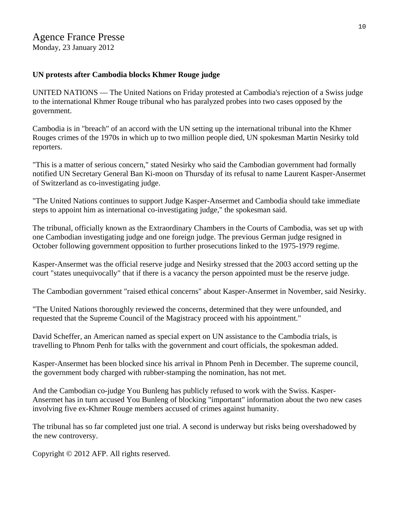# Agence France Presse

Monday, 23 January 2012

## **UN protests after Cambodia blocks Khmer Rouge judge**

UNITED NATIONS — The United Nations on Friday protested at Cambodia's rejection of a Swiss judge to the international Khmer Rouge tribunal who has paralyzed probes into two cases opposed by the government.

Cambodia is in "breach" of an accord with the UN setting up the international tribunal into the Khmer Rouges crimes of the 1970s in which up to two million people died, UN spokesman Martin Nesirky told reporters.

"This is a matter of serious concern," stated Nesirky who said the Cambodian government had formally notified UN Secretary General Ban Ki-moon on Thursday of its refusal to name Laurent Kasper-Ansermet of Switzerland as co-investigating judge.

"The United Nations continues to support Judge Kasper-Ansermet and Cambodia should take immediate steps to appoint him as international co-investigating judge," the spokesman said.

The tribunal, officially known as the Extraordinary Chambers in the Courts of Cambodia, was set up with one Cambodian investigating judge and one foreign judge. The previous German judge resigned in October following government opposition to further prosecutions linked to the 1975-1979 regime.

Kasper-Ansermet was the official reserve judge and Nesirky stressed that the 2003 accord setting up the court "states unequivocally" that if there is a vacancy the person appointed must be the reserve judge.

The Cambodian government "raised ethical concerns" about Kasper-Ansermet in November, said Nesirky.

"The United Nations thoroughly reviewed the concerns, determined that they were unfounded, and requested that the Supreme Council of the Magistracy proceed with his appointment."

David Scheffer, an American named as special expert on UN assistance to the Cambodia trials, is travelling to Phnom Penh for talks with the government and court officials, the spokesman added.

Kasper-Ansermet has been blocked since his arrival in Phnom Penh in December. The supreme council, the government body charged with rubber-stamping the nomination, has not met.

And the Cambodian co-judge You Bunleng has publicly refused to work with the Swiss. Kasper-Ansermet has in turn accused You Bunleng of blocking "important" information about the two new cases involving five ex-Khmer Rouge members accused of crimes against humanity.

The tribunal has so far completed just one trial. A second is underway but risks being overshadowed by the new controversy.

Copyright © 2012 AFP. All rights reserved.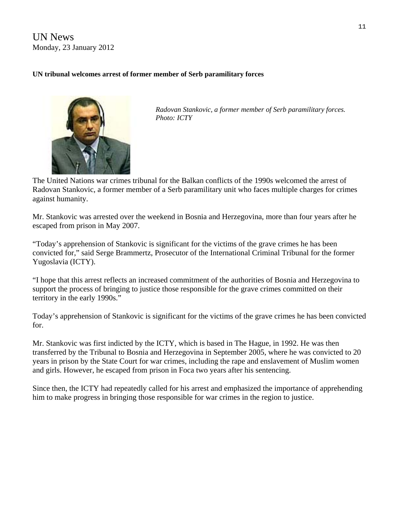UN News Monday, 23 January 2012

#### **UN tribunal welcomes arrest of former member of Serb paramilitary forces**



*Radovan Stankovic, a former member of Serb paramilitary forces. Photo: ICTY* 

The United Nations war crimes tribunal for the Balkan conflicts of the 1990s welcomed the arrest of Radovan Stankovic, a former member of a Serb paramilitary unit who faces multiple charges for crimes against humanity.

Mr. Stankovic was arrested over the weekend in Bosnia and Herzegovina, more than four years after he escaped from prison in May 2007.

"Today's apprehension of Stankovic is significant for the victims of the grave crimes he has been convicted for," [said](http://www.icty.org/sid/10892) Serge Brammertz, Prosecutor of the International Criminal Tribunal for the former Yugoslavia (ICTY).

"I hope that this arrest reflects an increased commitment of the authorities of Bosnia and Herzegovina to support the process of bringing to justice those responsible for the grave crimes committed on their territory in the early 1990s."

Today's apprehension of Stankovic is significant for the victims of the grave crimes he has been convicted for.

Mr. Stankovic was first indicted by the ICTY, which is based in The Hague, in 1992. He was then transferred by the Tribunal to Bosnia and Herzegovina in September 2005, where he was convicted to 20 years in prison by the State Court for war crimes, including the rape and enslavement of Muslim women and girls. However, he escaped from prison in Foca two years after his sentencing.

Since then, the ICTY had repeatedly called for his arrest and emphasized the importance of apprehending him to make progress in bringing those responsible for war crimes in the region to justice.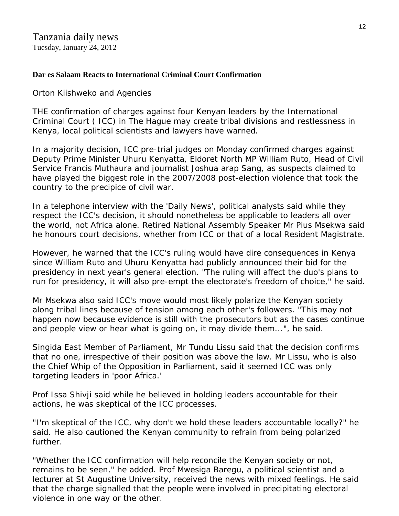# **Dar es Salaam Reacts to International Criminal Court Confirmation**

Orton Kiishweko and Agencies

THE confirmation of charges against four Kenyan leaders by the International Criminal Court ( ICC) in The Hague may create tribal divisions and restlessness in Kenya, local political scientists and lawyers have warned.

In a majority decision, ICC pre-trial judges on Monday confirmed charges against Deputy Prime Minister Uhuru Kenyatta, Eldoret North MP William Ruto, Head of Civil Service Francis Muthaura and journalist Joshua arap Sang, as suspects claimed to have played the biggest role in the 2007/2008 post-election violence that took the country to the precipice of civil war.

In a telephone interview with the 'Daily News', political analysts said while they respect the ICC's decision, it should nonetheless be applicable to leaders all over the world, not Africa alone. Retired National Assembly Speaker Mr Pius Msekwa said he honours court decisions, whether from ICC or that of a local Resident Magistrate.

However, he warned that the ICC's ruling would have dire consequences in Kenya since William Ruto and Uhuru Kenyatta had publicly announced their bid for the presidency in next year's general election. "The ruling will affect the duo's plans to run for presidency, it will also pre-empt the electorate's freedom of choice," he said.

Mr Msekwa also said ICC's move would most likely polarize the Kenyan society along tribal lines because of tension among each other's followers. "This may not happen now because evidence is still with the prosecutors but as the cases continue and people view or hear what is going on, it may divide them...", he said.

Singida East Member of Parliament, Mr Tundu Lissu said that the decision confirms that no one, irrespective of their position was above the law. Mr Lissu, who is also the Chief Whip of the Opposition in Parliament, said it seemed ICC was only targeting leaders in 'poor Africa.'

Prof Issa Shivji said while he believed in holding leaders accountable for their actions, he was skeptical of the ICC processes.

"I'm skeptical of the ICC, why don't we hold these leaders accountable locally?" he said. He also cautioned the Kenyan community to refrain from being polarized further.

"Whether the ICC confirmation will help reconcile the Kenyan society or not, remains to be seen," he added. Prof Mwesiga Baregu, a political scientist and a lecturer at St Augustine University, received the news with mixed feelings. He said that the charge signalled that the people were involved in precipitating electoral violence in one way or the other.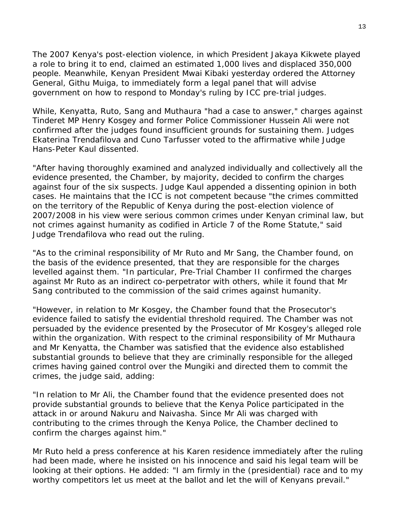The 2007 Kenya's post-election violence, in which President Jakaya Kikwete played a role to bring it to end, claimed an estimated 1,000 lives and displaced 350,000 people. Meanwhile, Kenyan President Mwai Kibaki yesterday ordered the Attorney General, Githu Muiga, to immediately form a legal panel that will advise government on how to respond to Monday's ruling by ICC pre-trial judges.

While, Kenyatta, Ruto, Sang and Muthaura "had a case to answer," charges against Tinderet MP Henry Kosgey and former Police Commissioner Hussein Ali were not confirmed after the judges found insufficient grounds for sustaining them. Judges Ekaterina Trendafilova and Cuno Tarfusser voted to the affirmative while Judge Hans-Peter Kaul dissented.

"After having thoroughly examined and analyzed individually and collectively all the evidence presented, the Chamber, by majority, decided to confirm the charges against four of the six suspects. Judge Kaul appended a dissenting opinion in both cases. He maintains that the ICC is not competent because "the crimes committed on the territory of the Republic of Kenya during the post-election violence of 2007/2008 in his view were serious common crimes under Kenyan criminal law, but not crimes against humanity as codified in Article 7 of the Rome Statute," said Judge Trendafilova who read out the ruling.

"As to the criminal responsibility of Mr Ruto and Mr Sang, the Chamber found, on the basis of the evidence presented, that they are responsible for the charges levelled against them. "In particular, Pre-Trial Chamber II confirmed the charges against Mr Ruto as an indirect co-perpetrator with others, while it found that Mr Sang contributed to the commission of the said crimes against humanity.

"However, in relation to Mr Kosgey, the Chamber found that the Prosecutor's evidence failed to satisfy the evidential threshold required. The Chamber was not persuaded by the evidence presented by the Prosecutor of Mr Kosgey's alleged role within the organization. With respect to the criminal responsibility of Mr Muthaura and Mr Kenyatta, the Chamber was satisfied that the evidence also established substantial grounds to believe that they are criminally responsible for the alleged crimes having gained control over the Mungiki and directed them to commit the crimes, the judge said, adding:

"In relation to Mr Ali, the Chamber found that the evidence presented does not provide substantial grounds to believe that the Kenya Police participated in the attack in or around Nakuru and Naivasha. Since Mr Ali was charged with contributing to the crimes through the Kenya Police, the Chamber declined to confirm the charges against him."

Mr Ruto held a press conference at his Karen residence immediately after the ruling had been made, where he insisted on his innocence and said his legal team will be looking at their options. He added: "I am firmly in the (presidential) race and to my worthy competitors let us meet at the ballot and let the will of Kenyans prevail."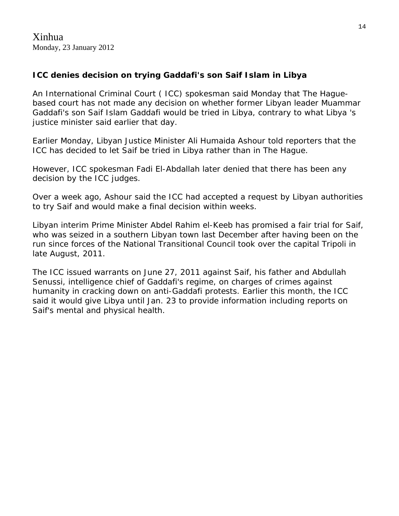# **ICC denies decision on trying Gaddafi's son Saif Islam in Libya**

An International Criminal Court ( ICC) spokesman said Monday that The Haguebased court has not made any decision on whether former Libyan leader Muammar Gaddafi's son Saif Islam Gaddafi would be tried in Libya, contrary to what Libya 's justice minister said earlier that day.

Earlier Monday, Libyan Justice Minister Ali Humaida Ashour told reporters that the ICC has decided to let Saif be tried in Libya rather than in The Hague.

However, ICC spokesman Fadi El-Abdallah later denied that there has been any decision by the ICC judges.

Over a week ago, Ashour said the ICC had accepted a request by Libyan authorities to try Saif and would make a final decision within weeks.

Libyan interim Prime Minister Abdel Rahim el-Keeb has promised a fair trial for Saif, who was seized in a southern Libyan town last December after having been on the run since forces of the National Transitional Council took over the capital Tripoli in late August, 2011.

The ICC issued warrants on June 27, 2011 against Saif, his father and Abdullah Senussi, intelligence chief of Gaddafi's regime, on charges of crimes against humanity in cracking down on anti-Gaddafi protests. Earlier this month, the ICC said it would give Libya until Jan. 23 to provide information including reports on Saif's mental and physical health.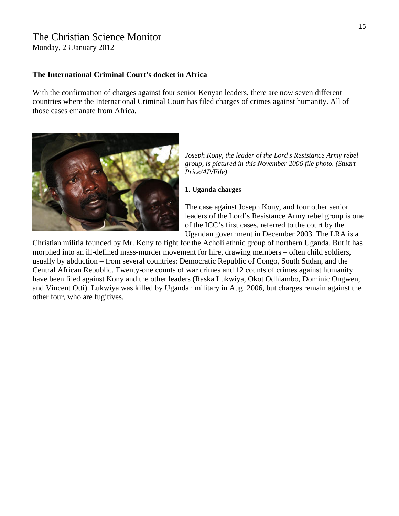# The Christian Science Monitor

Monday, 23 January 2012

#### **The International Criminal Court's docket in Africa**

With the confirmation of charges against four senior [Kenyan](http://www.csmonitor.com/tags/topic/Kenya) leaders, there are now seven different countries where the [International Criminal Court](http://www.csmonitor.com/tags/topic/International+Criminal+Court) has filed charges of crimes against humanity. All of those cases emanate from [Africa.](http://www.csmonitor.com/tags/topic/Africa)



*Joseph Kony, the leader of the Lord's Resistance Army rebel group, is pictured in this November 2006 file photo. (Stuart Price/AP/File)* 

#### **1. Uganda charges**

The case against [Joseph Kony,](http://www.csmonitor.com/tags/topic/Joseph+Kony) and four other senior leaders of the Lord's Resistance Army rebel group is one of the ICC's first cases, referred to the court by the [Ugandan](http://www.csmonitor.com/tags/topic/Uganda) government in December 2003. The LRA is a

Christian militia founded by Mr. Kony to fight for the Acholi ethnic group of northern Uganda. But it has morphed into an ill-defined mass-murder movement for hire, drawing members – often child soldiers, usually by abduction – from several countries: [Democratic Republic of Congo,](http://www.csmonitor.com/tags/topic/Democratic+Republic+of+the+Congo) [South Sudan,](http://www.csmonitor.com/tags/topic/Southern+Sudan) and the [Central African Republic](http://www.csmonitor.com/tags/topic/Central+African+Republic). Twenty-one counts of war crimes and 12 counts of crimes against humanity have been filed against Kony and the other leaders ([Raska Lukwiya,](http://www.csmonitor.com/tags/topic/Raska+Lukwiya) [Okot Odhiambo](http://www.csmonitor.com/tags/topic/Okot+Odhiambo), [Dominic Ongwen,](http://www.csmonitor.com/tags/topic/Dominic+Ongwen) and [Vincent Otti\)](http://www.csmonitor.com/tags/topic/Vincent+Otti). Lukwiya was killed by Ugandan military in Aug. 2006, but charges remain against the other four, who are fugitives.